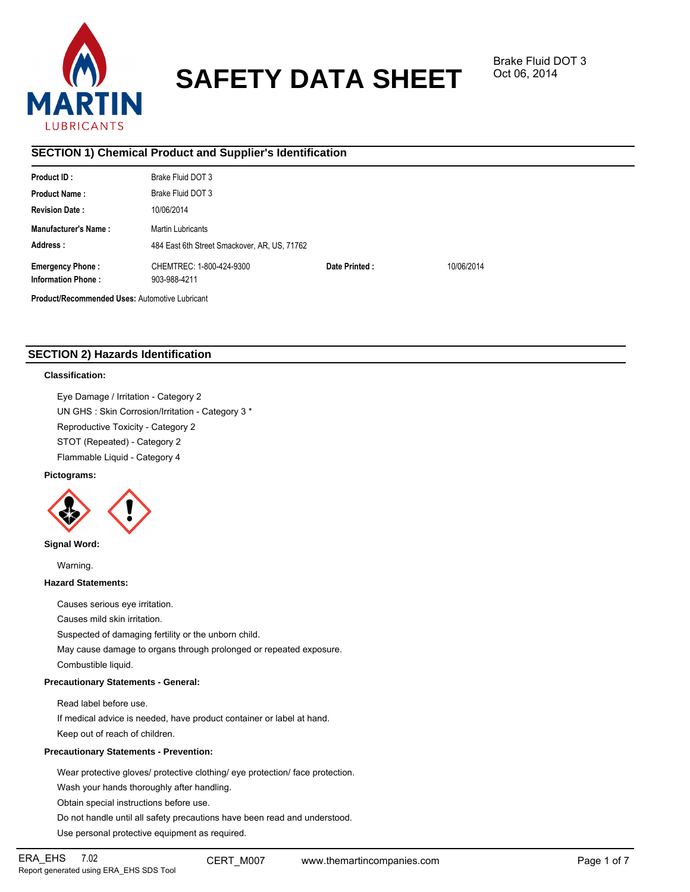

# **SAFETY DATA SHEET**

# **SECTION 1) Chemical Product and Supplier's Identification**

| Product ID:                                           | Brake Fluid DOT 3                            |               |            |  |  |  |
|-------------------------------------------------------|----------------------------------------------|---------------|------------|--|--|--|
| <b>Product Name:</b>                                  | Brake Fluid DOT 3                            |               |            |  |  |  |
| <b>Revision Date:</b>                                 | 10/06/2014                                   |               |            |  |  |  |
| <b>Manufacturer's Name:</b>                           | Martin Lubricants                            |               |            |  |  |  |
| Address:                                              | 484 East 6th Street Smackover, AR, US, 71762 |               |            |  |  |  |
| <b>Emergency Phone:</b>                               | CHEMTREC: 1-800-424-9300                     | Date Printed: | 10/06/2014 |  |  |  |
| <b>Information Phone:</b>                             | 903-988-4211                                 |               |            |  |  |  |
| <b>Product/Recommended Uses: Automotive Lubricant</b> |                                              |               |            |  |  |  |

# **SECTION 2) Hazards Identification**

# **Classification:**

Eye Damage / Irritation - Category 2 UN GHS : Skin Corrosion/Irritation - Category 3 \* Reproductive Toxicity - Category 2 STOT (Repeated) - Category 2 Flammable Liquid - Category 4

## **Pictograms:**



# **Signal Word:**

Warning.

# **Hazard Statements:**

Causes serious eye irritation.

Causes mild skin irritation.

Suspected of damaging fertility or the unborn child.

May cause damage to organs through prolonged or repeated exposure.

Combustible liquid.

# **Precautionary Statements - General:**

Read label before use.

If medical advice is needed, have product container or label at hand. Keep out of reach of children.

## **Precautionary Statements - Prevention:**

Wear protective gloves/ protective clothing/ eye protection/ face protection.

Wash your hands thoroughly after handling.

Obtain special instructions before use.

Do not handle until all safety precautions have been read and understood.

Use personal protective equipment as required.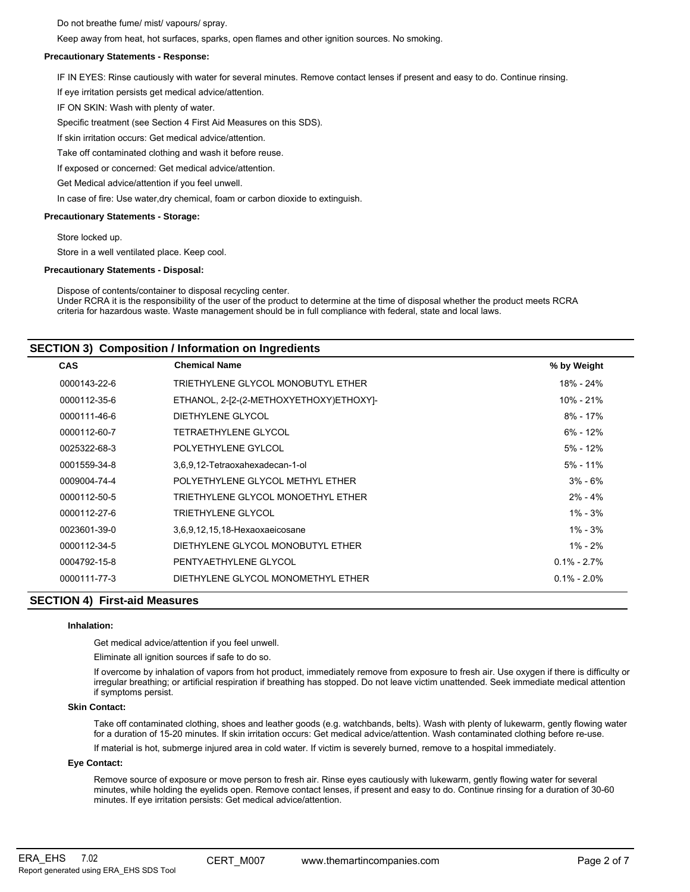Do not breathe fume/ mist/ vapours/ spray.

Keep away from heat, hot surfaces, sparks, open flames and other ignition sources. No smoking.

## **Precautionary Statements - Response:**

IF IN EYES: Rinse cautiously with water for several minutes. Remove contact lenses if present and easy to do. Continue rinsing.

If eye irritation persists get medical advice/attention.

IF ON SKIN: Wash with plenty of water.

Specific treatment (see Section 4 First Aid Measures on this SDS).

If skin irritation occurs: Get medical advice/attention.

Take off contaminated clothing and wash it before reuse.

If exposed or concerned: Get medical advice/attention.

Get Medical advice/attention if you feel unwell.

In case of fire: Use water,dry chemical, foam or carbon dioxide to extinguish.

## **Precautionary Statements - Storage:**

Store locked up.

Store in a well ventilated place. Keep cool.

### **Precautionary Statements - Disposal:**

Dispose of contents/container to disposal recycling center. Under RCRA it is the responsibility of the user of the product to determine at the time of disposal whether the product meets RCRA criteria for hazardous waste. Waste management should be in full compliance with federal, state and local laws.

# **SECTION 3) Composition / Information on Ingredients**

| <b>CAS</b>   | <b>Chemical Name</b>                    | % by Weight     |
|--------------|-----------------------------------------|-----------------|
| 0000143-22-6 | TRIETHYLENE GLYCOL MONOBUTYL ETHER      | 18% - 24%       |
| 0000112-35-6 | ETHANOL, 2-[2-(2-METHOXYETHOXY)ETHOXY]- | 10% - 21%       |
| 0000111-46-6 | DIETHYLENE GLYCOL                       | $8\% - 17\%$    |
| 0000112-60-7 | TETRAETHYLENE GLYCOL                    | $6\% - 12\%$    |
| 0025322-68-3 | POLYETHYLENE GYLCOL                     | 5% - 12%        |
| 0001559-34-8 | 3,6,9,12-Tetraoxahexadecan-1-ol         | $5\%$ - 11%     |
| 0009004-74-4 | POLYETHYLENE GLYCOL METHYL ETHER        | $3\% - 6\%$     |
| 0000112-50-5 | TRIETHYLENE GLYCOL MONOETHYL ETHER      | $2\% - 4\%$     |
| 0000112-27-6 | TRIETHYLENE GLYCOL                      | $1\% - 3\%$     |
| 0023601-39-0 | 3,6,9,12,15,18-Hexaoxaeicosane          | $1\% - 3\%$     |
| 0000112-34-5 | DIETHYLENE GLYCOL MONOBUTYL ETHER       | 1% - 2%         |
| 0004792-15-8 | PENTYAETHYLENE GLYCOL                   | $0.1\% - 2.7\%$ |
| 0000111-77-3 | DIETHYLENE GLYCOL MONOMETHYL ETHER      | $0.1\% - 2.0\%$ |
|              |                                         |                 |

# **SECTION 4) First-aid Measures**

## **Inhalation:**

Get medical advice/attention if you feel unwell.

Eliminate all ignition sources if safe to do so.

If overcome by inhalation of vapors from hot product, immediately remove from exposure to fresh air. Use oxygen if there is difficulty or irregular breathing; or artificial respiration if breathing has stopped. Do not leave victim unattended. Seek immediate medical attention if symptoms persist.

## **Skin Contact:**

Take off contaminated clothing, shoes and leather goods (e.g. watchbands, belts). Wash with plenty of lukewarm, gently flowing water for a duration of 15-20 minutes. If skin irritation occurs: Get medical advice/attention. Wash contaminated clothing before re-use.

If material is hot, submerge injured area in cold water. If victim is severely burned, remove to a hospital immediately.

## **Eye Contact:**

Remove source of exposure or move person to fresh air. Rinse eyes cautiously with lukewarm, gently flowing water for several minutes, while holding the eyelids open. Remove contact lenses, if present and easy to do. Continue rinsing for a duration of 30-60 minutes. If eye irritation persists: Get medical advice/attention.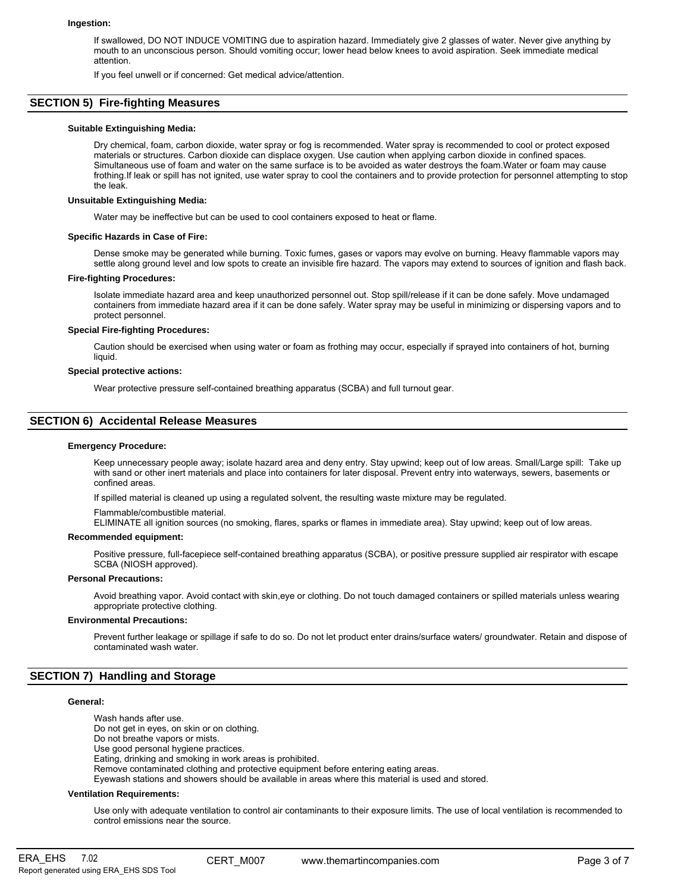#### **Ingestion:**

If swallowed, DO NOT INDUCE VOMITING due to aspiration hazard. Immediately give 2 glasses of water. Never give anything by mouth to an unconscious person. Should vomiting occur; lower head below knees to avoid aspiration. Seek immediate medical attention.

If you feel unwell or if concerned: Get medical advice/attention.

# **SECTION 5) Fire-fighting Measures**

## **Suitable Extinguishing Media:**

Dry chemical, foam, carbon dioxide, water spray or fog is recommended. Water spray is recommended to cool or protect exposed materials or structures. Carbon dioxide can displace oxygen. Use caution when applying carbon dioxide in confined spaces. Simultaneous use of foam and water on the same surface is to be avoided as water destroys the foam.Water or foam may cause frothing.If leak or spill has not ignited, use water spray to cool the containers and to provide protection for personnel attempting to stop the leak.

### **Unsuitable Extinguishing Media:**

Water may be ineffective but can be used to cool containers exposed to heat or flame.

## **Specific Hazards in Case of Fire:**

Dense smoke may be generated while burning. Toxic fumes, gases or vapors may evolve on burning. Heavy flammable vapors may settle along ground level and low spots to create an invisible fire hazard. The vapors may extend to sources of ignition and flash back.

## **Fire-fighting Procedures:**

Isolate immediate hazard area and keep unauthorized personnel out. Stop spill/release if it can be done safely. Move undamaged containers from immediate hazard area if it can be done safely. Water spray may be useful in minimizing or dispersing vapors and to protect personnel.

### **Special Fire-fighting Procedures:**

Caution should be exercised when using water or foam as frothing may occur, especially if sprayed into containers of hot, burning liquid.

#### **Special protective actions:**

Wear protective pressure self-contained breathing apparatus (SCBA) and full turnout gear.

# **SECTION 6) Accidental Release Measures**

## **Emergency Procedure:**

Keep unnecessary people away; isolate hazard area and deny entry. Stay upwind; keep out of low areas. Small/Large spill: Take up with sand or other inert materials and place into containers for later disposal. Prevent entry into waterways, sewers, basements or confined areas.

If spilled material is cleaned up using a regulated solvent, the resulting waste mixture may be regulated.

Flammable/combustible material.

ELIMINATE all ignition sources (no smoking, flares, sparks or flames in immediate area). Stay upwind; keep out of low areas.

## **Recommended equipment:**

Positive pressure, full-facepiece self-contained breathing apparatus (SCBA), or positive pressure supplied air respirator with escape SCBA (NIOSH approved).

#### **Personal Precautions:**

Avoid breathing vapor. Avoid contact with skin,eye or clothing. Do not touch damaged containers or spilled materials unless wearing appropriate protective clothing.

### **Environmental Precautions:**

Prevent further leakage or spillage if safe to do so. Do not let product enter drains/surface waters/ groundwater. Retain and dispose of contaminated wash water.

# **SECTION 7) Handling and Storage**

### **General:**

Wash hands after use. Do not get in eyes, on skin or on clothing. Do not breathe vapors or mists. Use good personal hygiene practices. Eating, drinking and smoking in work areas is prohibited. Remove contaminated clothing and protective equipment before entering eating areas. Eyewash stations and showers should be available in areas where this material is used and stored.

#### **Ventilation Requirements:**

Use only with adequate ventilation to control air contaminants to their exposure limits. The use of local ventilation is recommended to control emissions near the source.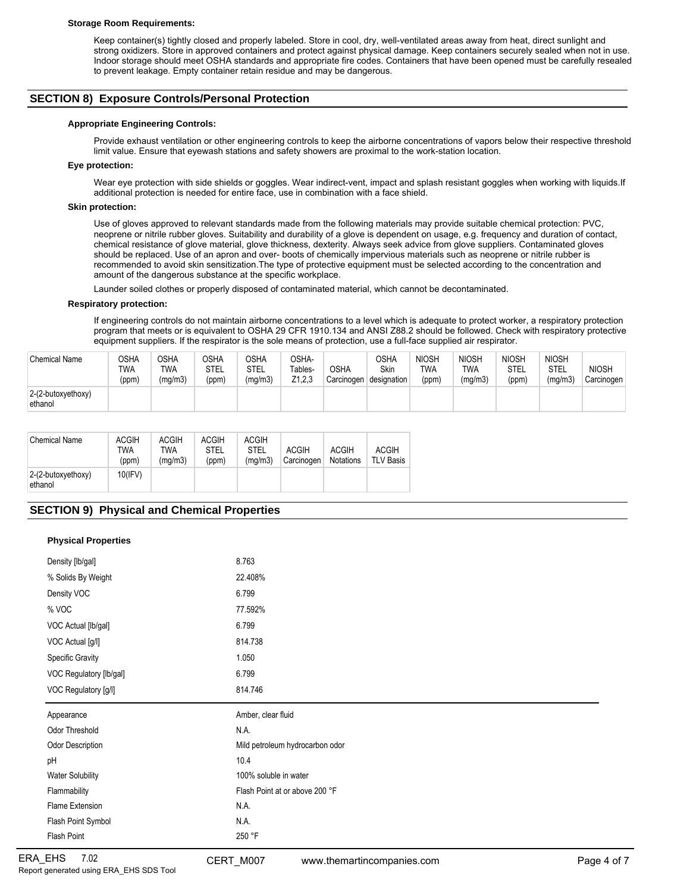#### **Storage Room Requirements:**

Keep container(s) tightly closed and properly labeled. Store in cool, dry, well-ventilated areas away from heat, direct sunlight and strong oxidizers. Store in approved containers and protect against physical damage. Keep containers securely sealed when not in use. Indoor storage should meet OSHA standards and appropriate fire codes. Containers that have been opened must be carefully resealed to prevent leakage. Empty container retain residue and may be dangerous.

# **SECTION 8) Exposure Controls/Personal Protection**

## **Appropriate Engineering Controls:**

Provide exhaust ventilation or other engineering controls to keep the airborne concentrations of vapors below their respective threshold limit value. Ensure that eyewash stations and safety showers are proximal to the work-station location.

## **Eye protection:**

Wear eye protection with side shields or goggles. Wear indirect-vent, impact and splash resistant goggles when working with liquids.If additional protection is needed for entire face, use in combination with a face shield.

### **Skin protection:**

Use of gloves approved to relevant standards made from the following materials may provide suitable chemical protection: PVC, neoprene or nitrile rubber gloves. Suitability and durability of a glove is dependent on usage, e.g. frequency and duration of contact, chemical resistance of glove material, glove thickness, dexterity. Always seek advice from glove suppliers. Contaminated gloves should be replaced. Use of an apron and over- boots of chemically impervious materials such as neoprene or nitrile rubber is recommended to avoid skin sensitization.The type of protective equipment must be selected according to the concentration and amount of the dangerous substance at the specific workplace.

Launder soiled clothes or properly disposed of contaminated material, which cannot be decontaminated.

## **Respiratory protection:**

If engineering controls do not maintain airborne concentrations to a level which is adequate to protect worker, a respiratory protection program that meets or is equivalent to OSHA 29 CFR 1910.134 and ANSI Z88.2 should be followed. Check with respiratory protective equipment suppliers. If the respirator is the sole means of protection, use a full-face supplied air respirator.

| <b>Chemical Name</b>          | OSHA<br>TWA<br>(ppm) | <b>OSHA</b><br><b>TWA</b><br>(ma/m3 | <b>OSHA</b><br>STEL<br>(ppm) | OSHA<br>STEL<br>(mg/m3) | OSHA-<br>Tables-<br>Z <sub>1.2.3</sub> | <b>OSHA</b><br>Carcinogen | <b>OSHA</b><br>Skin<br>designation | NIOSH<br><b>TWA</b><br>(ppm) | <b>NIOSH</b><br>TWA<br>(mg/m3) | <b>NIOSH</b><br><b>STEL</b><br>(ppm) | <b>NIOSH</b><br>STEL<br>(mq/m3) | <b>NIOSH</b><br>Carcinogen |
|-------------------------------|----------------------|-------------------------------------|------------------------------|-------------------------|----------------------------------------|---------------------------|------------------------------------|------------------------------|--------------------------------|--------------------------------------|---------------------------------|----------------------------|
| 2-(2-butoxyethoxy)<br>ethanol |                      |                                     |                              |                         |                                        |                           |                                    |                              |                                |                                      |                                 |                            |

| <b>Chemical Name</b>          | <b>ACGIH</b><br>TWA<br>(ppm) | ACGIH<br>TWA<br>(ma/m3) | <b>ACGIH</b><br><b>STEL</b><br>(ppm) | <b>ACGIH</b><br><b>STEL</b><br>(ma/m3) | <b>ACGIH</b><br>Carcinogen | <b>ACGIH</b><br><b>Notations</b> | <b>ACGIH</b><br><b>TLV Basis</b> |
|-------------------------------|------------------------------|-------------------------|--------------------------------------|----------------------------------------|----------------------------|----------------------------------|----------------------------------|
| 2-(2-butoxyethoxy)<br>ethanol | 10(IFV)                      |                         |                                      |                                        |                            |                                  |                                  |

# **SECTION 9) Physical and Chemical Properties**

# **Physical Properties**

| Density [lb/gal]        | 8.763                           |
|-------------------------|---------------------------------|
| % Solids By Weight      | 22.408%                         |
| Density VOC             | 6.799                           |
| % VOC                   | 77.592%                         |
| VOC Actual [lb/gal]     | 6.799                           |
| VOC Actual [g/l]        | 814.738                         |
| <b>Specific Gravity</b> | 1.050                           |
| VOC Regulatory [lb/gal] | 6.799                           |
| VOC Regulatory [g/l]    | 814.746                         |
|                         |                                 |
| Appearance              | Amber, clear fluid              |
| Odor Threshold          | N.A.                            |
| Odor Description        | Mild petroleum hydrocarbon odor |
| pH                      | 10.4                            |
| <b>Water Solubility</b> | 100% soluble in water           |
| Flammability            | Flash Point at or above 200 °F  |
| Flame Extension         | N.A.                            |
| Flash Point Symbol      | N.A.                            |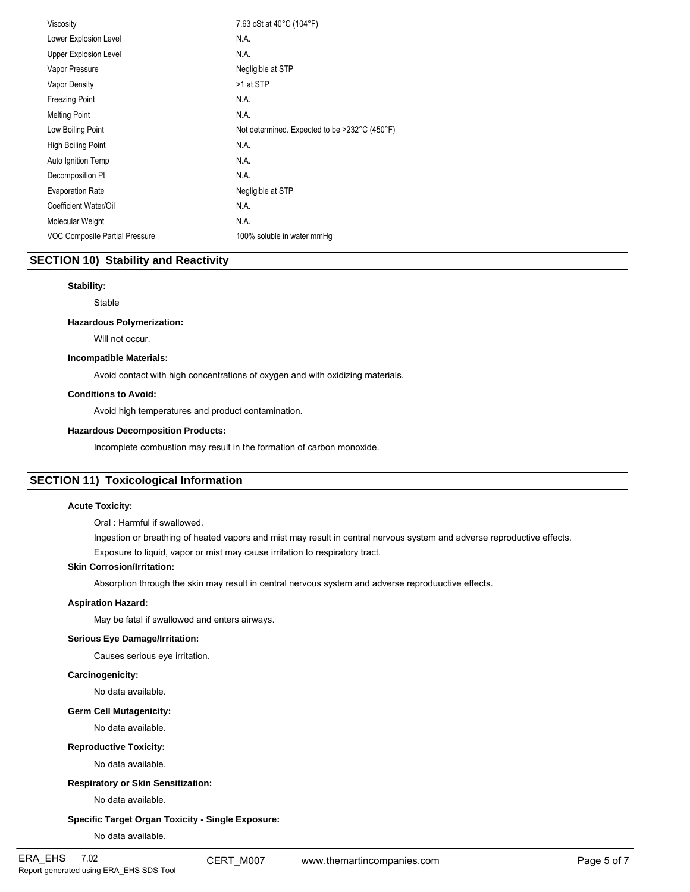| Viscosity                             | 7.63 cSt at 40°C (104°F)                      |
|---------------------------------------|-----------------------------------------------|
| Lower Explosion Level                 | N.A.                                          |
| Upper Explosion Level                 | N.A.                                          |
| Vapor Pressure                        | Negligible at STP                             |
| <b>Vapor Density</b>                  | >1 at STP                                     |
| <b>Freezing Point</b>                 | N.A.                                          |
| <b>Melting Point</b>                  | N.A.                                          |
| Low Boiling Point                     | Not determined. Expected to be >232°C (450°F) |
| High Boiling Point                    | N.A.                                          |
| Auto Ignition Temp                    | N.A.                                          |
| Decomposition Pt                      | N.A.                                          |
| <b>Evaporation Rate</b>               | Negligible at STP                             |
| Coefficient Water/Oil                 | N.A.                                          |
| Molecular Weight                      | N.A.                                          |
| <b>VOC Composite Partial Pressure</b> | 100% soluble in water mmHg                    |
|                                       |                                               |

# **SECTION 10) Stability and Reactivity**

## **Stability:**

Stable

# **Hazardous Polymerization:**

Will not occur.

## **Incompatible Materials:**

Avoid contact with high concentrations of oxygen and with oxidizing materials.

## **Conditions to Avoid:**

Avoid high temperatures and product contamination.

## **Hazardous Decomposition Products:**

Incomplete combustion may result in the formation of carbon monoxide.

# **SECTION 11) Toxicological Information**

## **Acute Toxicity:**

Oral : Harmful if swallowed.

Ingestion or breathing of heated vapors and mist may result in central nervous system and adverse reproductive effects.

Exposure to liquid, vapor or mist may cause irritation to respiratory tract.

# **Skin Corrosion/Irritation:**

Absorption through the skin may result in central nervous system and adverse reproduuctive effects.

## **Aspiration Hazard:**

May be fatal if swallowed and enters airways.

## **Serious Eye Damage/Irritation:**

Causes serious eye irritation.

## **Carcinogenicity:**

No data available.

## **Germ Cell Mutagenicity:**

No data available.

## **Reproductive Toxicity:**

No data available.

## **Respiratory or Skin Sensitization:**

No data available.

# **Specific Target Organ Toxicity - Single Exposure:**

No data available.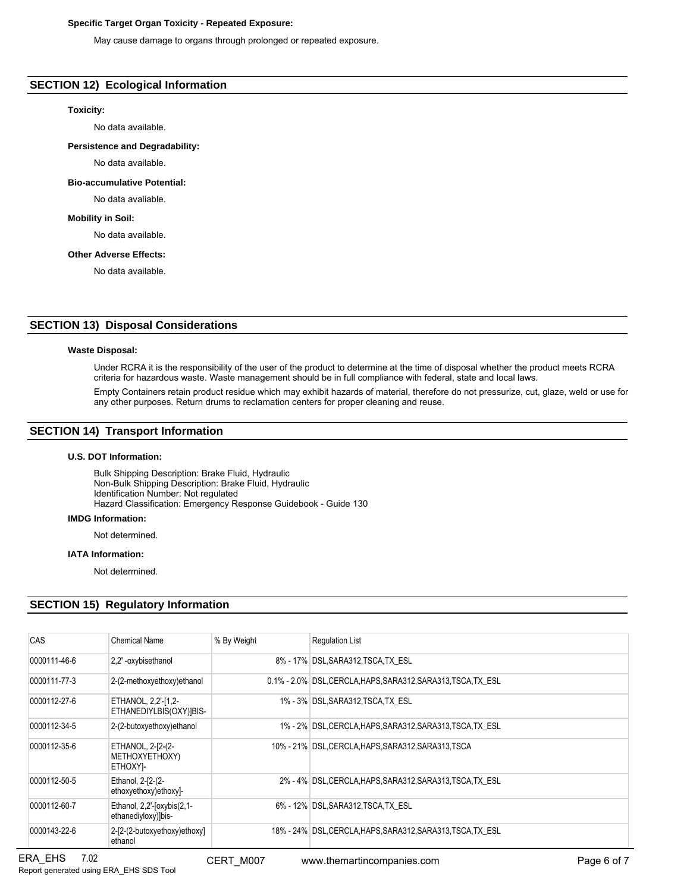# **Specific Target Organ Toxicity - Repeated Exposure:**

May cause damage to organs through prolonged or repeated exposure.

# **SECTION 12) Ecological Information**

# **Toxicity:**

No data available.

**Persistence and Degradability:**

No data available.

**Bio-accumulative Potential:**

No data avaliable.

## **Mobility in Soil:**

No data available.

## **Other Adverse Effects:**

No data available.

# **SECTION 13) Disposal Considerations**

## **Waste Disposal:**

Under RCRA it is the responsibility of the user of the product to determine at the time of disposal whether the product meets RCRA criteria for hazardous waste. Waste management should be in full compliance with federal, state and local laws.

Empty Containers retain product residue which may exhibit hazards of material, therefore do not pressurize, cut, glaze, weld or use for any other purposes. Return drums to reclamation centers for proper cleaning and reuse.

# **SECTION 14) Transport Information**

## **U.S. DOT Information:**

Bulk Shipping Description: Brake Fluid, Hydraulic Non-Bulk Shipping Description: Brake Fluid, Hydraulic Identification Number: Not regulated Hazard Classification: Emergency Response Guidebook - Guide 130

#### **IMDG Information:**

Not determined.

#### **IATA Information:**

Not determined.

# **SECTION 15) Regulatory Information**

| CAS          | Chemical Name                                     | % By Weight | <b>Regulation List</b>                                        |
|--------------|---------------------------------------------------|-------------|---------------------------------------------------------------|
| 0000111-46-6 | 2.2' -oxybisethanol                               |             | 8% - 17% DSL SARA312 TSCA TX ESL                              |
| 0000111-77-3 | 2-(2-methoxyethoxy) ethanol                       |             | 0.1% - 2.0% DSL, CERCLA, HAPS, SARA312, SARA313, TSCA, TX ESL |
| 0000112-27-6 | ETHANOL, 2,2'-[1,2-<br>ETHANEDIYLBIS(OXY)]BIS-    |             | 1% - 3% DSL, SARA312, TSCA, TX ESL                            |
| 0000112-34-5 | 2-(2-butoxyethoxy)ethanol                         |             | 1% - 2%   DSL, CERCLA, HAPS, SARA312, SARA313, TSCA, TX ESL   |
| 0000112-35-6 | ETHANOL, 2-[2-(2-<br>METHOXYETHOXY)<br>ETHOXYI-   |             | 10% - 21% DSL.CERCLA.HAPS.SARA312.SARA313.TSCA                |
| 0000112-50-5 | Ethanol, 2-[2-(2-<br>ethoxyethoxy)ethoxy]-        |             | 2% - 4% DSL CERCLA HAPS SARA312 SARA313 TSCA TX ESL           |
| 0000112-60-7 | Ethanol, 2,2'-[oxybis(2,1-<br>ethanediyloxy)]bis- |             | 6% - 12% DSL, SARA312, TSCA, TX ESL                           |
| 0000143-22-6 | 2-[2-(2-butoxyethoxy)ethoxy]<br>ethanol           |             | 18% - 24% DSL CERCLA HAPS SARA312 SARA313 TSCA TX ESL         |